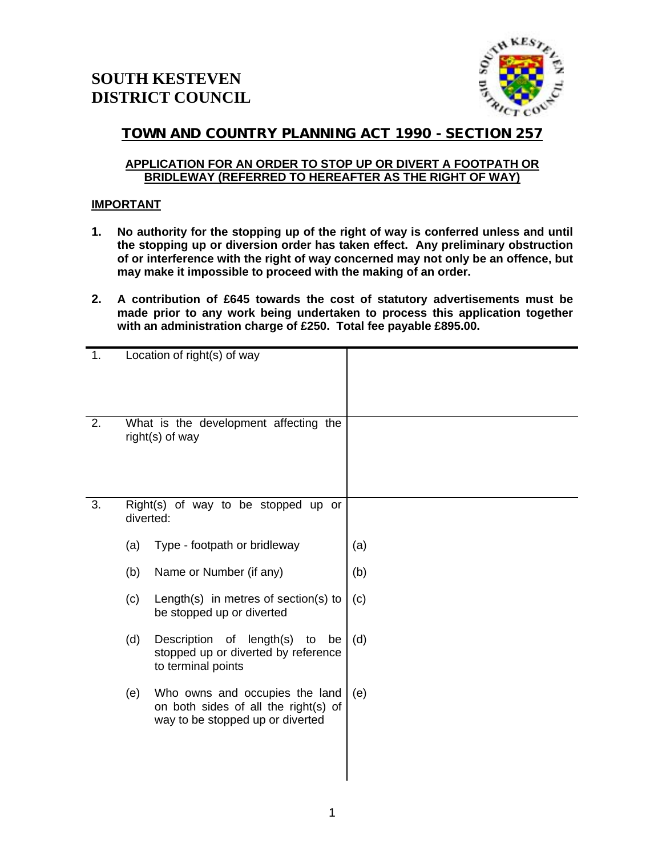

# **TOWN AND COUNTRY PLANNING ACT 1990 - SECTION 257**

## **APPLICATION FOR AN ORDER TO STOP UP OR DIVERT A FOOTPATH OR BRIDLEWAY (REFERRED TO HEREAFTER AS THE RIGHT OF WAY)**

## **IMPORTANT**

- **1. No authority for the stopping up of the right of way is conferred unless and until the stopping up or diversion order has taken effect. Any preliminary obstruction of or interference with the right of way concerned may not only be an offence, but may make it impossible to proceed with the making of an order.**
- **2. A contribution of £645 towards the cost of statutory advertisements must be made prior to any work being undertaken to process this application together with an administration charge of £250. Total fee payable £895.00.**

| 1. |                                                          | Location of right(s) of way                                                                                |     |
|----|----------------------------------------------------------|------------------------------------------------------------------------------------------------------------|-----|
| 2. | What is the development affecting the<br>right(s) of way |                                                                                                            |     |
| 3. | Right(s) of way to be stopped up or<br>diverted:         |                                                                                                            |     |
|    | (a)                                                      | Type - footpath or bridleway                                                                               | (a) |
|    | (b)                                                      | Name or Number (if any)                                                                                    | (b) |
|    | (c)                                                      | Length(s) in metres of section(s) to<br>be stopped up or diverted                                          | (c) |
|    | (d)                                                      | Description of length(s)<br>to<br>be<br>stopped up or diverted by reference<br>to terminal points          | (d) |
|    | (e)                                                      | Who owns and occupies the land<br>on both sides of all the right(s) of<br>way to be stopped up or diverted | (e) |
|    |                                                          |                                                                                                            |     |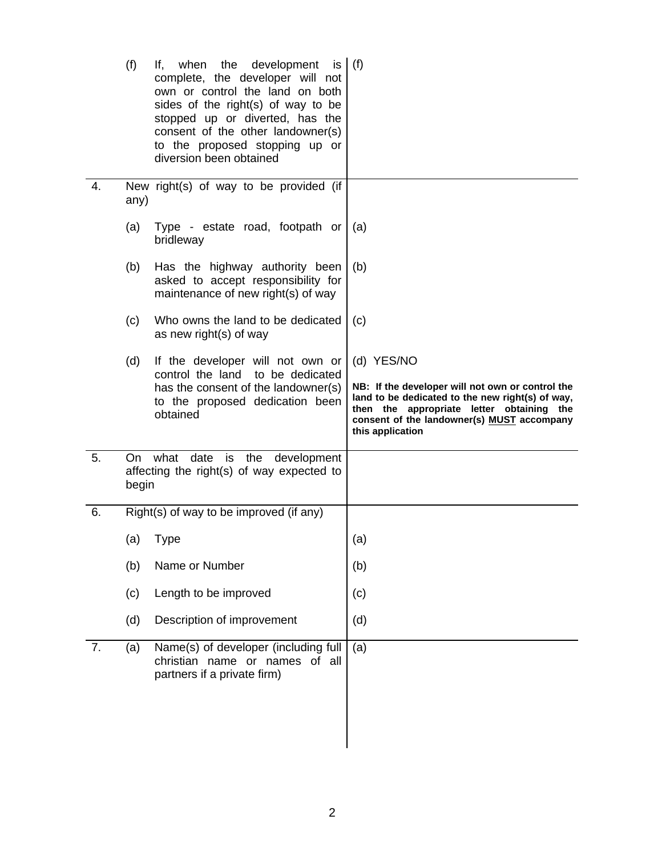|    | (f)                                                                                                | If, when the development is $(f)$<br>complete, the developer will not<br>own or control the land on both<br>sides of the right(s) of way to be<br>stopped up or diverted, has the<br>consent of the other landowner(s)<br>to the proposed stopping up or<br>diversion been obtained |                                                                                                                                                                                                                                   |
|----|----------------------------------------------------------------------------------------------------|-------------------------------------------------------------------------------------------------------------------------------------------------------------------------------------------------------------------------------------------------------------------------------------|-----------------------------------------------------------------------------------------------------------------------------------------------------------------------------------------------------------------------------------|
| 4. | any)                                                                                               | New right(s) of way to be provided (if                                                                                                                                                                                                                                              |                                                                                                                                                                                                                                   |
|    | (a)                                                                                                | Type - estate road, footpath or<br>bridleway                                                                                                                                                                                                                                        | (a)                                                                                                                                                                                                                               |
|    | (b)                                                                                                | Has the highway authority been<br>asked to accept responsibility for<br>maintenance of new right(s) of way                                                                                                                                                                          | (b)                                                                                                                                                                                                                               |
|    | (c)                                                                                                | Who owns the land to be dedicated<br>as new right(s) of way                                                                                                                                                                                                                         | (c)                                                                                                                                                                                                                               |
|    | (d)                                                                                                | If the developer will not own or<br>control the land<br>to be dedicated<br>has the consent of the landowner(s)<br>to the proposed dedication been<br>obtained                                                                                                                       | (d) YES/NO<br>NB: If the developer will not own or control the<br>land to be dedicated to the new right(s) of way,<br>then the appropriate letter obtaining the<br>consent of the landowner(s) MUST accompany<br>this application |
| 5. | date<br>what<br>is the<br>development<br>On:<br>affecting the right(s) of way expected to<br>begin |                                                                                                                                                                                                                                                                                     |                                                                                                                                                                                                                                   |
| 6. |                                                                                                    | Right(s) of way to be improved (if any)                                                                                                                                                                                                                                             |                                                                                                                                                                                                                                   |
|    | (a)                                                                                                | <b>Type</b>                                                                                                                                                                                                                                                                         | (a)                                                                                                                                                                                                                               |
|    | (b)                                                                                                | Name or Number                                                                                                                                                                                                                                                                      | (b)                                                                                                                                                                                                                               |
|    | (c)                                                                                                | Length to be improved                                                                                                                                                                                                                                                               | (c)                                                                                                                                                                                                                               |
|    | (d)                                                                                                | Description of improvement                                                                                                                                                                                                                                                          | (d)                                                                                                                                                                                                                               |
| 7. |                                                                                                    | Name(s) of developer (including full                                                                                                                                                                                                                                                | (a)                                                                                                                                                                                                                               |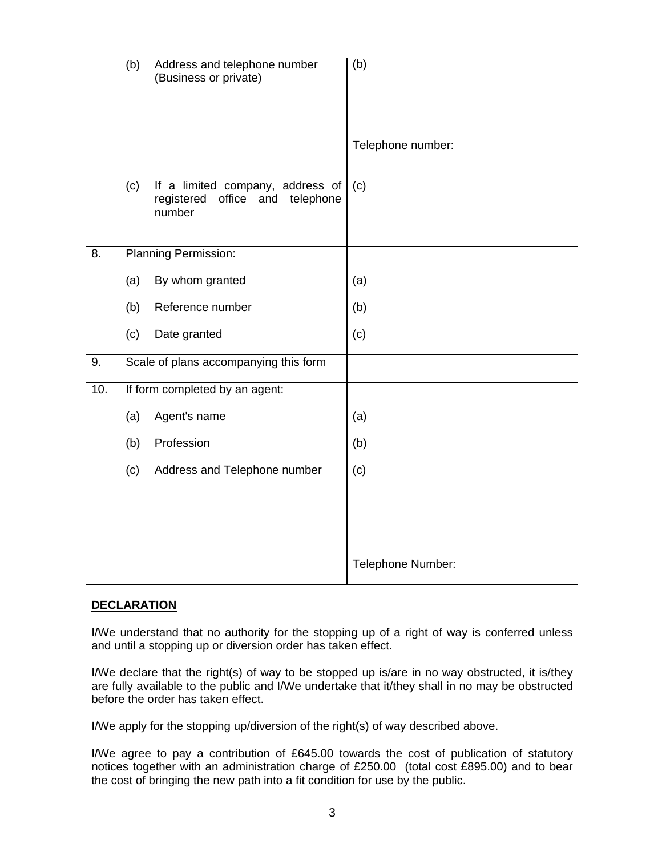|     | (b) | Address and telephone number<br>(Business or private)                            | (b)               |
|-----|-----|----------------------------------------------------------------------------------|-------------------|
|     |     |                                                                                  | Telephone number: |
|     | (c) | If a limited company, address of<br>registered office and<br>telephone<br>number | (c)               |
| 8.  |     | Planning Permission:                                                             |                   |
|     | (a) | By whom granted                                                                  | (a)               |
|     | (b) | Reference number                                                                 | (b)               |
|     | (c) | Date granted                                                                     | (c)               |
| 9.  |     | Scale of plans accompanying this form                                            |                   |
| 10. |     | If form completed by an agent:                                                   |                   |
|     | (a) | Agent's name                                                                     | (a)               |
|     | (b) | Profession                                                                       | (b)               |
|     | (c) | Address and Telephone number                                                     | (c)               |
|     |     |                                                                                  |                   |
|     |     |                                                                                  | Telephone Number: |

### **DECLARATION**

I/We understand that no authority for the stopping up of a right of way is conferred unless and until a stopping up or diversion order has taken effect.

I/We declare that the right(s) of way to be stopped up is/are in no way obstructed, it is/they are fully available to the public and I/We undertake that it/they shall in no may be obstructed before the order has taken effect.

I/We apply for the stopping up/diversion of the right(s) of way described above.

I/We agree to pay a contribution of £645.00 towards the cost of publication of statutory notices together with an administration charge of £250.00 (total cost £895.00) and to bear the cost of bringing the new path into a fit condition for use by the public.